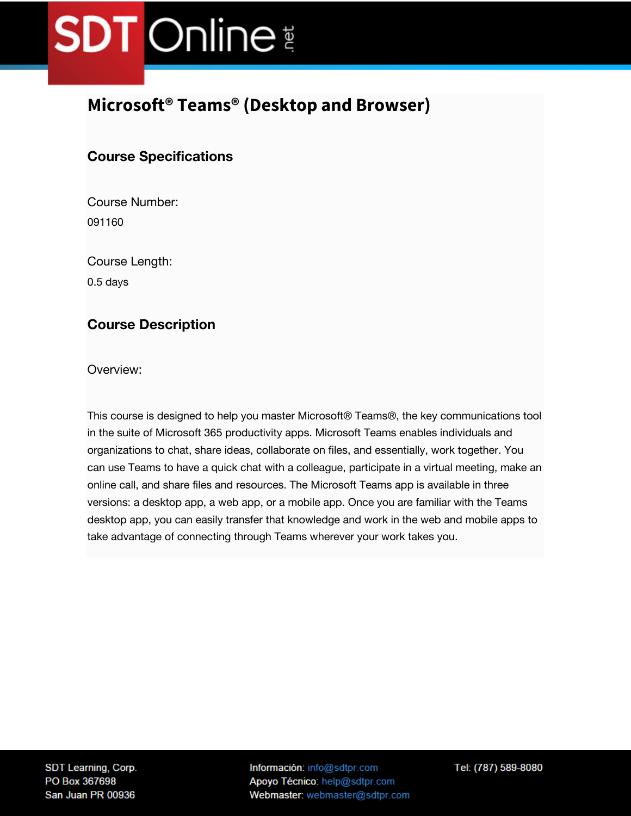### **Microsoft® Teams® (Desktop and Browser)**

### **Course Specifications**

Course Number: 091160

Course Length:

0.5 days

#### **Course Description**

Overview:

This course is designed to help you master Microsoft® Teams®, the key communications tool in the suite of Microsoft 365 productivity apps. Microsoft Teams enables individuals and organizations to chat, share ideas, collaborate on files, and essentially, work together. You can use Teams to have a quick chat with a colleague, participate in a virtual meeting, make an online call, and share files and resources. The Microsoft Teams app is available in three versions: a desktop app, a web app, or a mobile app. Once you are familiar with the Teams desktop app, you can easily transfer that knowledge and work in the web and mobile apps to take advantage of connecting through Teams wherever your work takes you.

SDT Learning, Corp. PO Box 367698 San Juan PR 00936

Información: info@sdtpr.com Apoyo Técnico: help@sdtpr.com Webmaster: webmaster@sdtpr.com Tel: (787) 589-8080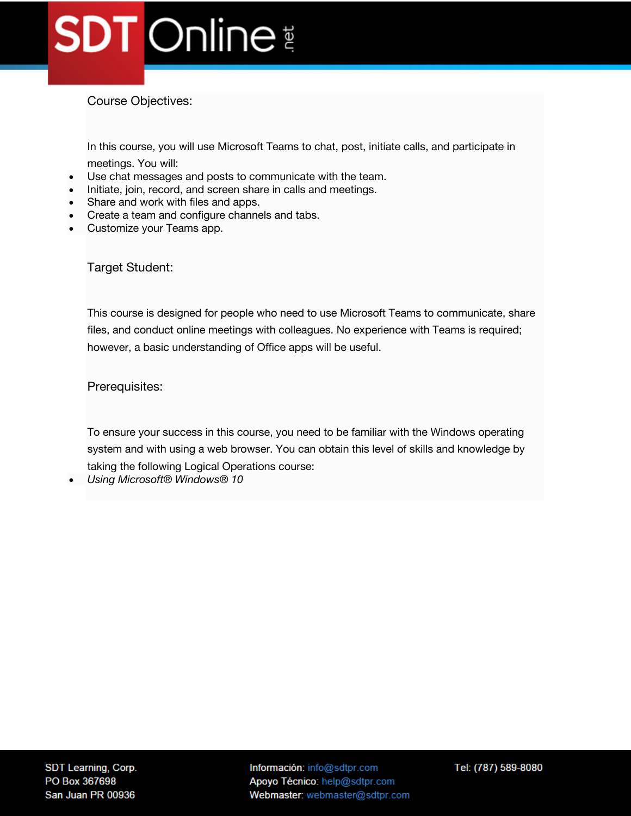Course Objectives:

In this course, you will use Microsoft Teams to chat, post, initiate calls, and participate in

meetings. You will:

- Use chat messages and posts to communicate with the team.
- Initiate, join, record, and screen share in calls and meetings.
- Share and work with files and apps.
- Create a team and configure channels and tabs.
- Customize your Teams app.

Target Student:

This course is designed for people who need to use Microsoft Teams to communicate, share files, and conduct online meetings with colleagues. No experience with Teams is required; however, a basic understanding of Office apps will be useful.

Prerequisites:

To ensure your success in this course, you need to be familiar with the Windows operating system and with using a web browser. You can obtain this level of skills and knowledge by taking the following Logical Operations course:

• *Using Microsoft® Windows® 10*

Información: info@sdtpr.com Apoyo Técnico: help@sdtpr.com Webmaster: webmaster@sdtpr.com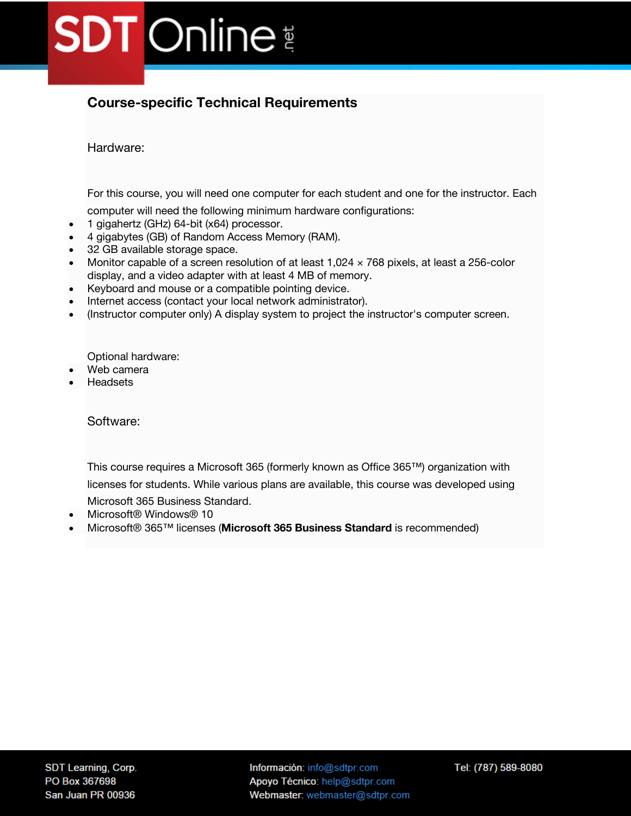### **Course-specific Technical Requirements**

Hardware:

For this course, you will need one computer for each student and one for the instructor. Each

computer will need the following minimum hardware configurations:

- 1 gigahertz (GHz) 64-bit (x64) processor.
- 4 gigabytes (GB) of Random Access Memory (RAM).
- 32 GB available storage space.
- Monitor capable of a screen resolution of at least  $1,024 \times 768$  pixels, at least a 256-color display, and a video adapter with at least 4 MB of memory.
- Keyboard and mouse or a compatible pointing device.
- Internet access (contact your local network administrator).
- (Instructor computer only) A display system to project the instructor's computer screen.

Optional hardware:

- Web camera
- Headsets

Software:

This course requires a Microsoft 365 (formerly known as Office 365™) organization with licenses for students. While various plans are available, this course was developed using

Microsoft 365 Business Standard.

- Microsoft® Windows® 10
- Microsoft® 365™ licenses (**Microsoft 365 Business Standard** is recommended)

Información: info@sdtpr.com Apoyo Técnico: help@sdtpr.com Webmaster: webmaster@sdtpr.com